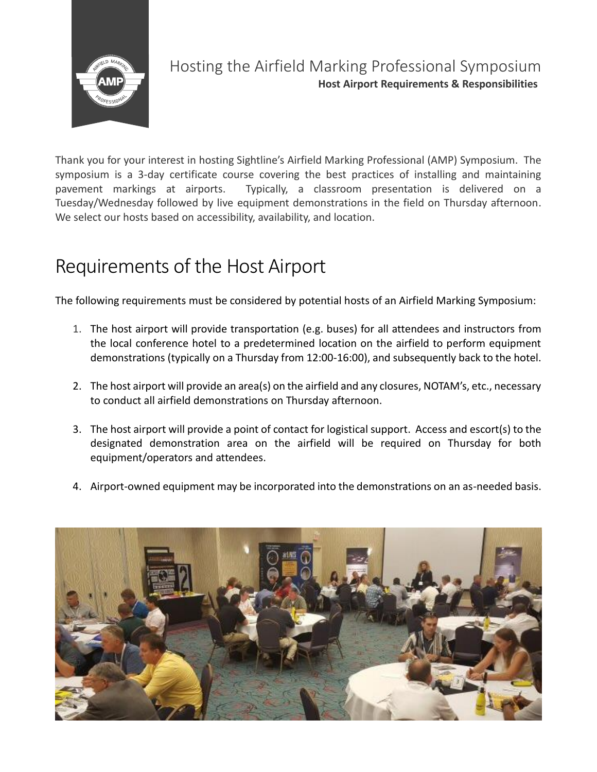

## Hosting the Airfield Marking Professional Symposium **Host Airport Requirements & Responsibilities**

Thank you for your interest in hosting Sightline's Airfield Marking Professional (AMP) Symposium. The symposium is a 3-day certificate course covering the best practices of installing and maintaining pavement markings at airports. Typically, a classroom presentation is delivered on a Tuesday/Wednesday followed by live equipment demonstrations in the field on Thursday afternoon. We select our hosts based on accessibility, availability, and location.

## Requirements of the Host Airport

The following requirements must be considered by potential hosts of an Airfield Marking Symposium:

- 1. The host airport will provide transportation (e.g. buses) for all attendees and instructors from the local conference hotel to a predetermined location on the airfield to perform equipment demonstrations (typically on a Thursday from 12:00-16:00), and subsequently back to the hotel.
- 2. The host airport will provide an area(s) on the airfield and any closures, NOTAM's, etc., necessary to conduct all airfield demonstrations on Thursday afternoon.
- 3. The host airport will provide a point of contact for logistical support. Access and escort(s) to the designated demonstration area on the airfield will be required on Thursday for both equipment/operators and attendees.
- 4. Airport-owned equipment may be incorporated into the demonstrations on an as-needed basis.